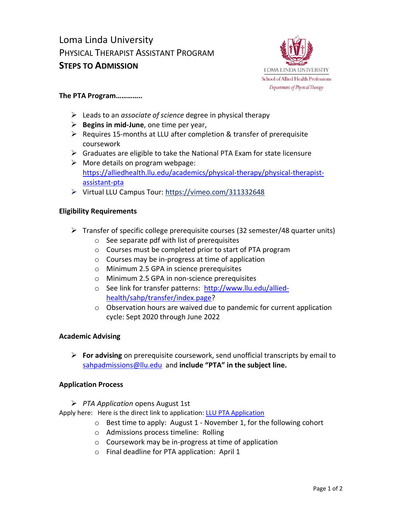# Loma Linda University PHYSICAL THERAPIST ASSISTANT PROGRAM **STEPS TO ADMISSION**



#### **The PTA Program…………..**

- ➢ Leads to an *associate of science* degree in physical therapy
- ➢ **Begins in mid-June**, one time per year,
- ➢ Requires 15-months at LLU after completion & transfer of prerequisite coursework
- $\triangleright$  Graduates are eligible to take the National PTA Exam for state licensure
- $\triangleright$  More details on program webpage: [https://alliedhealth.llu.edu/academics/physical-therapy/physical-therapist](https://alliedhealth.llu.edu/academics/physical-therapy/physical-therapist-assistant-pta)[assistant-pta](https://alliedhealth.llu.edu/academics/physical-therapy/physical-therapist-assistant-pta)
- ➢ Virtual LLU Campus Tour:<https://vimeo.com/311332648>

#### **Eligibility Requirements**

- $\triangleright$  Transfer of specific college prerequisite courses (32 semester/48 quarter units)
	- o See separate pdf with list of prerequisites
	- o Courses must be completed prior to start of PTA program
	- o Courses may be in-progress at time of application
	- o Minimum 2.5 GPA in science prerequisites
	- o Minimum 2.5 GPA in non-science prerequisites
	- o See link for transfer patterns: [http://www.llu.edu/allied](http://www.llu.edu/allied-health/sahp/transfer/index.page)[health/sahp/transfer/index.page?](http://www.llu.edu/allied-health/sahp/transfer/index.page)
	- o Observation hours are waived due to pandemic for current application cycle: Sept 2020 through June 2022

## **Academic Advising**

➢ **For advising** on prerequisite coursework, send unofficial transcripts by email to [sahpadmissions@llu.edu](mailto:sahpadmissions@llu.edu) and **include "PTA" in the subject line.**

## **Application Process**

➢ *PTA Application* opens August 1st

Apply here: Here is the direct link to application[: LLU PTA Application](https://ssweb.llu.edu/llu/bwskalog.P_DispLoginNon)

- o Best time to apply: August 1 November 1, for the following cohort
- o Admissions process timeline: Rolling
- o Coursework may be in-progress at time of application
- o Final deadline for PTA application: April 1